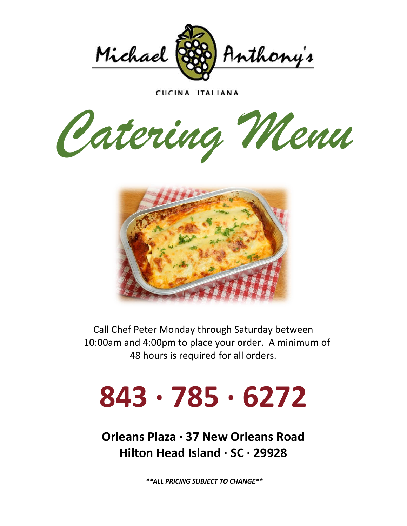

CUCINA ITALIANA

*Catering Menu*



Call Chef Peter Monday through Saturday between 10:00am and 4:00pm to place your order. A minimum of 48 hours is required for all orders.

# **843 · 785 · 6272**

**Orleans Plaza · 37 New Orleans Road Hilton Head Island · SC · 29928**

*\*\*ALL PRICING SUBJECT TO CHANGE\*\**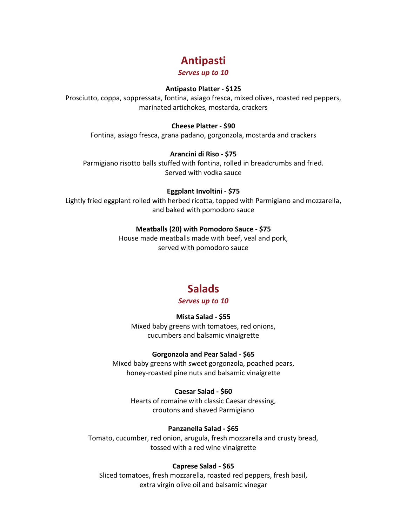# **Antipasti**

#### *Serves up to 10*

#### **Antipasto Platter - \$125**

Prosciutto, coppa, soppressata, fontina, asiago fresca, mixed olives, roasted red peppers, marinated artichokes, mostarda, crackers

#### **Cheese Platter - \$90**

Fontina, asiago fresca, grana padano, gorgonzola, mostarda and crackers

#### **Arancini di Riso - \$75**

Parmigiano risotto balls stuffed with fontina, rolled in breadcrumbs and fried. Served with vodka sauce

#### **Eggplant Involtini - \$75**

Lightly fried eggplant rolled with herbed ricotta, topped with Parmigiano and mozzarella, and baked with pomodoro sauce

#### **Meatballs (20) with Pomodoro Sauce - \$75**

House made meatballs made with beef, veal and pork, served with pomodoro sauce

# **Salads**

#### *Serves up to 10*

#### **Mista Salad - \$55**

Mixed baby greens with tomatoes, red onions, cucumbers and balsamic vinaigrette

#### **Gorgonzola and Pear Salad - \$65**

Mixed baby greens with sweet gorgonzola, poached pears, honey-roasted pine nuts and balsamic vinaigrette

#### **Caesar Salad - \$60**

Hearts of romaine with classic Caesar dressing, croutons and shaved Parmigiano

#### **Panzanella Salad - \$65**

Tomato, cucumber, red onion, arugula, fresh mozzarella and crusty bread, tossed with a red wine vinaigrette

#### **Caprese Salad - \$65**

Sliced tomatoes, fresh mozzarella, roasted red peppers, fresh basil, extra virgin olive oil and balsamic vinegar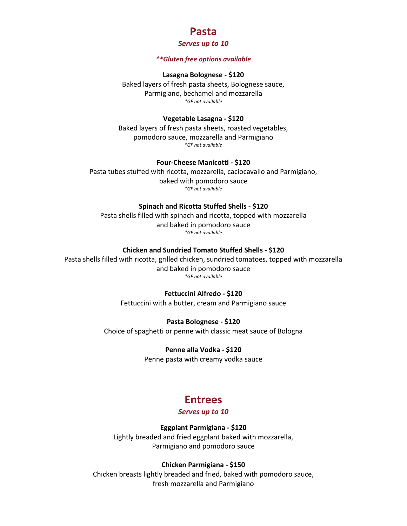# **Pasta**

#### *Serves up to 10*

#### *\*\*Gluten free options available*

#### **Lasagna Bolognese - \$120**

Baked layers of fresh pasta sheets, Bolognese sauce, Parmigiano, bechamel and mozzarella *\*GF not available*

#### **Vegetable Lasagna - \$120**

Baked layers of fresh pasta sheets, roasted vegetables, pomodoro sauce, mozzarella and Parmigiano *\*GF not available*

#### **Four-Cheese Manicotti - \$120**

Pasta tubes stuffed with ricotta, mozzarella, caciocavallo and Parmigiano, baked with pomodoro sauce *\*GF not available*

#### **Spinach and Ricotta Stuffed Shells - \$120**

Pasta shells filled with spinach and ricotta, topped with mozzarella and baked in pomodoro sauce *\*GF not available*

#### **Chicken and Sundried Tomato Stuffed Shells - \$120**

Pasta shells filled with ricotta, grilled chicken, sundried tomatoes, topped with mozzarella and baked in pomodoro sauce *\*GF not available*

#### **Fettuccini Alfredo - \$120**

Fettuccini with a butter, cream and Parmigiano sauce

#### **Pasta Bolognese - \$120**

Choice of spaghetti or penne with classic meat sauce of Bologna

#### **Penne alla Vodka - \$120**

Penne pasta with creamy vodka sauce

# **Entrees**

#### *Serves up to 10*

#### **Eggplant Parmigiana - \$120**

Lightly breaded and fried eggplant baked with mozzarella, Parmigiano and pomodoro sauce

#### **Chicken Parmigiana - \$150**

Chicken breasts lightly breaded and fried, baked with pomodoro sauce, fresh mozzarella and Parmigiano